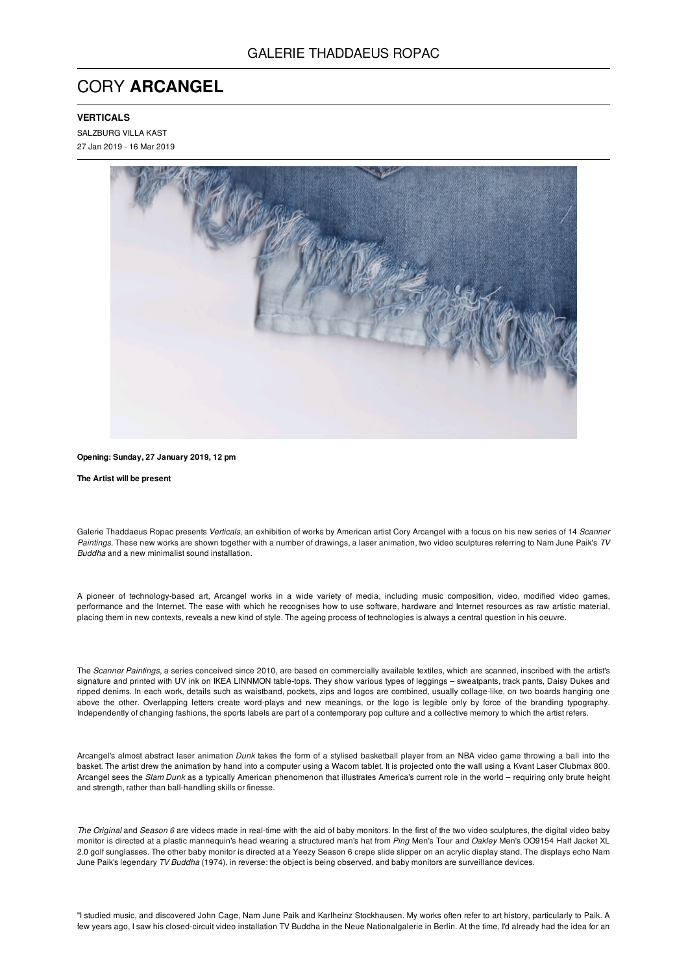## CORY **ARCANGEL**

## **VERTICALS**

SALZBURG VILLA KAST 27 Jan 2019 - 16 Mar 2019



**Opening: Sunday, 27 January 2019, 12 pm**

**The Artist will be present**

Galerie Thaddaeus Ropac presents *Verticals*, an exhibition of works by American artist Cory Arcangel with a focus on his new series of 14 *Scanner Paintings.* These new works are shown together with a number of drawings, a laser animation, two video sculptures referring to Nam June Paik's *TV Buddha* and a new minimalist sound installation.

A pioneer of technology-based art, Arcangel works in a wide variety of media, including music composition, video, modified video games, performance and the Internet. The ease with which he recognises how to use software, hardware and Internet resources as raw artistic material, placing them in new contexts, reveals a new kind of style. The ageing process of technologies is always a central question in his oeuvre.

The *Scanner Paintings*, a series conceived since 2010, are based on commercially available textiles, which are scanned, inscribed with the artist's signature and printed with UV ink on IKEA LINNMON table-tops. They show various types of leggings – sweatpants, track pants, Daisy Dukes and ripped denims. In each work, details such as waistband, pockets, zips and logos are combined, usually collage-like, on two boards hanging one above the other. Overlapping letters create word-plays and new meanings, or the logo is legible only by force of the branding typography. Independently of changing fashions, the sports labels are part of a contemporary pop culture and a collective memory to which the artist refers.

Arcangel's almost abstract laser animation *Dunk* takes the form of a stylised basketball player from an NBA video game throwing a ball into the basket. The artist drew the animation by hand into a computer using a Wacom tablet. It is projected onto the wall using a Kvant Laser Clubmax 800. Arcangel sees the *Slam Dunk* as a typically American phenomenon that illustrates America's current role in the world – requiring only brute height and strength, rather than ball-handling skills or finesse.

*The Original* and *Season 6* are videos made in real-time with the aid of baby monitors. In the first of the two video sculptures, the digital video baby monitor is directed at a plastic mannequin's head wearing a structured man's hat from *Ping* Men's Tour and *Oakley* Men's OO9154 Half Jacket XL 2.0 golf sunglasses. The other baby monitor is directed at a Yeezy Season 6 crepe slide slipper on an acrylic display stand. The displays echo Nam June Paik's legendary *TV Buddha* (1974), in reverse: the object is being observed, and baby monitors are surveillance devices.

"I studied music, and discovered John Cage, Nam June Paik and Karlheinz Stockhausen. My works often refer to art history, particularly to Paik. A few years ago, I saw his closed-circuit video installation TV Buddha in the Neue Nationalgalerie in Berlin. At the time, I'd already had the idea for an